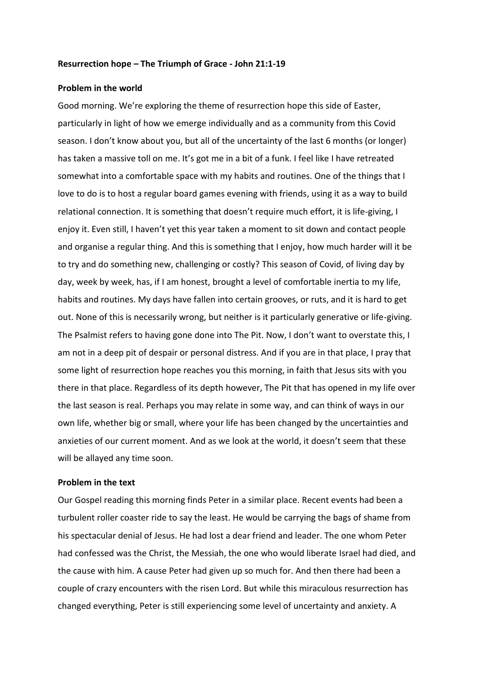### **Resurrection hope – The Triumph of Grace - John 21:1-19**

### **Problem in the world**

Good morning. We're exploring the theme of resurrection hope this side of Easter, particularly in light of how we emerge individually and as a community from this Covid season. I don't know about you, but all of the uncertainty of the last 6 months (or longer) has taken a massive toll on me. It's got me in a bit of a funk. I feel like I have retreated somewhat into a comfortable space with my habits and routines. One of the things that I love to do is to host a regular board games evening with friends, using it as a way to build relational connection. It is something that doesn't require much effort, it is life-giving, I enjoy it. Even still, I haven't yet this year taken a moment to sit down and contact people and organise a regular thing. And this is something that I enjoy, how much harder will it be to try and do something new, challenging or costly? This season of Covid, of living day by day, week by week, has, if I am honest, brought a level of comfortable inertia to my life, habits and routines. My days have fallen into certain grooves, or ruts, and it is hard to get out. None of this is necessarily wrong, but neither is it particularly generative or life-giving. The Psalmist refers to having gone done into The Pit. Now, I don't want to overstate this, I am not in a deep pit of despair or personal distress. And if you are in that place, I pray that some light of resurrection hope reaches you this morning, in faith that Jesus sits with you there in that place. Regardless of its depth however, The Pit that has opened in my life over the last season is real. Perhaps you may relate in some way, and can think of ways in our own life, whether big or small, where your life has been changed by the uncertainties and anxieties of our current moment. And as we look at the world, it doesn't seem that these will be allayed any time soon.

# **Problem in the text**

Our Gospel reading this morning finds Peter in a similar place. Recent events had been a turbulent roller coaster ride to say the least. He would be carrying the bags of shame from his spectacular denial of Jesus. He had lost a dear friend and leader. The one whom Peter had confessed was the Christ, the Messiah, the one who would liberate Israel had died, and the cause with him. A cause Peter had given up so much for. And then there had been a couple of crazy encounters with the risen Lord. But while this miraculous resurrection has changed everything, Peter is still experiencing some level of uncertainty and anxiety. A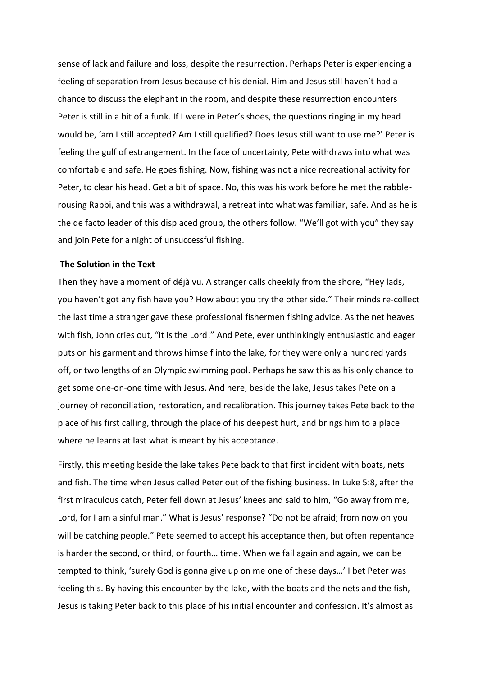sense of lack and failure and loss, despite the resurrection. Perhaps Peter is experiencing a feeling of separation from Jesus because of his denial. Him and Jesus still haven't had a chance to discuss the elephant in the room, and despite these resurrection encounters Peter is still in a bit of a funk. If I were in Peter's shoes, the questions ringing in my head would be, 'am I still accepted? Am I still qualified? Does Jesus still want to use me?' Peter is feeling the gulf of estrangement. In the face of uncertainty, Pete withdraws into what was comfortable and safe. He goes fishing. Now, fishing was not a nice recreational activity for Peter, to clear his head. Get a bit of space. No, this was his work before he met the rabblerousing Rabbi, and this was a withdrawal, a retreat into what was familiar, safe. And as he is the de facto leader of this displaced group, the others follow. "We'll got with you" they say and join Pete for a night of unsuccessful fishing.

### **The Solution in the Text**

Then they have a moment of déjà vu. A stranger calls cheekily from the shore, "Hey lads, you haven't got any fish have you? How about you try the other side." Their minds re-collect the last time a stranger gave these professional fishermen fishing advice. As the net heaves with fish, John cries out, "it is the Lord!" And Pete, ever unthinkingly enthusiastic and eager puts on his garment and throws himself into the lake, for they were only a hundred yards off, or two lengths of an Olympic swimming pool. Perhaps he saw this as his only chance to get some one-on-one time with Jesus. And here, beside the lake, Jesus takes Pete on a journey of reconciliation, restoration, and recalibration. This journey takes Pete back to the place of his first calling, through the place of his deepest hurt, and brings him to a place where he learns at last what is meant by his acceptance.

Firstly, this meeting beside the lake takes Pete back to that first incident with boats, nets and fish. The time when Jesus called Peter out of the fishing business. In Luke 5:8, after the first miraculous catch, Peter fell down at Jesus' knees and said to him, "Go away from me, Lord, for I am a sinful man." What is Jesus' response? "Do not be afraid; from now on you will be catching people." Pete seemed to accept his acceptance then, but often repentance is harder the second, or third, or fourth… time. When we fail again and again, we can be tempted to think, 'surely God is gonna give up on me one of these days…' I bet Peter was feeling this. By having this encounter by the lake, with the boats and the nets and the fish, Jesus is taking Peter back to this place of his initial encounter and confession. It's almost as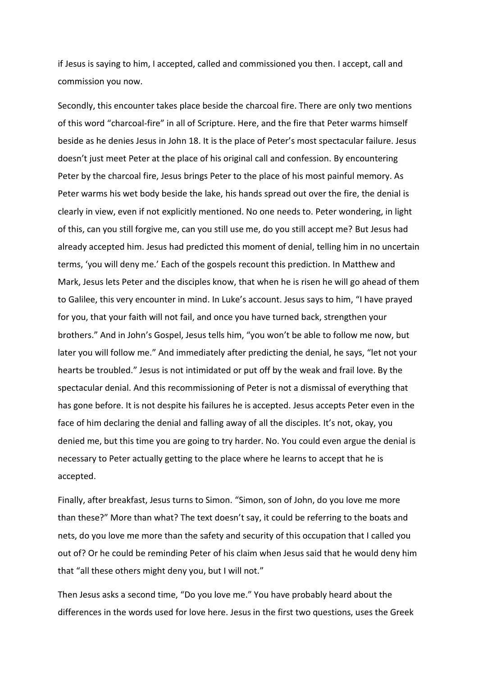if Jesus is saying to him, I accepted, called and commissioned you then. I accept, call and commission you now.

Secondly, this encounter takes place beside the charcoal fire. There are only two mentions of this word "charcoal-fire" in all of Scripture. Here, and the fire that Peter warms himself beside as he denies Jesus in John 18. It is the place of Peter's most spectacular failure. Jesus doesn't just meet Peter at the place of his original call and confession. By encountering Peter by the charcoal fire, Jesus brings Peter to the place of his most painful memory. As Peter warms his wet body beside the lake, his hands spread out over the fire, the denial is clearly in view, even if not explicitly mentioned. No one needs to. Peter wondering, in light of this, can you still forgive me, can you still use me, do you still accept me? But Jesus had already accepted him. Jesus had predicted this moment of denial, telling him in no uncertain terms, 'you will deny me.' Each of the gospels recount this prediction. In Matthew and Mark, Jesus lets Peter and the disciples know, that when he is risen he will go ahead of them to Galilee, this very encounter in mind. In Luke's account. Jesus says to him, "I have prayed for you, that your faith will not fail, and once you have turned back, strengthen your brothers." And in John's Gospel, Jesus tells him, "you won't be able to follow me now, but later you will follow me." And immediately after predicting the denial, he says, "let not your hearts be troubled." Jesus is not intimidated or put off by the weak and frail love. By the spectacular denial. And this recommissioning of Peter is not a dismissal of everything that has gone before. It is not despite his failures he is accepted. Jesus accepts Peter even in the face of him declaring the denial and falling away of all the disciples. It's not, okay, you denied me, but this time you are going to try harder. No. You could even argue the denial is necessary to Peter actually getting to the place where he learns to accept that he is accepted.

Finally, after breakfast, Jesus turns to Simon. "Simon, son of John, do you love me more than these?" More than what? The text doesn't say, it could be referring to the boats and nets, do you love me more than the safety and security of this occupation that I called you out of? Or he could be reminding Peter of his claim when Jesus said that he would deny him that "all these others might deny you, but I will not."

Then Jesus asks a second time, "Do you love me." You have probably heard about the differences in the words used for love here. Jesus in the first two questions, uses the Greek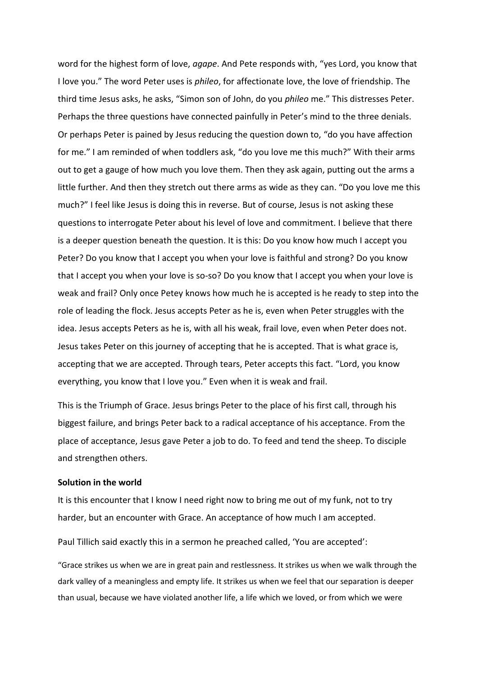word for the highest form of love, *agape*. And Pete responds with, "yes Lord, you know that I love you." The word Peter uses is *phileo*, for affectionate love, the love of friendship. The third time Jesus asks, he asks, "Simon son of John, do you *phileo* me." This distresses Peter. Perhaps the three questions have connected painfully in Peter's mind to the three denials. Or perhaps Peter is pained by Jesus reducing the question down to, "do you have affection for me." I am reminded of when toddlers ask, "do you love me this much?" With their arms out to get a gauge of how much you love them. Then they ask again, putting out the arms a little further. And then they stretch out there arms as wide as they can. "Do you love me this much?" I feel like Jesus is doing this in reverse. But of course, Jesus is not asking these questions to interrogate Peter about his level of love and commitment. I believe that there is a deeper question beneath the question. It is this: Do you know how much I accept you Peter? Do you know that I accept you when your love is faithful and strong? Do you know that I accept you when your love is so-so? Do you know that I accept you when your love is weak and frail? Only once Petey knows how much he is accepted is he ready to step into the role of leading the flock. Jesus accepts Peter as he is, even when Peter struggles with the idea. Jesus accepts Peters as he is, with all his weak, frail love, even when Peter does not. Jesus takes Peter on this journey of accepting that he is accepted. That is what grace is, accepting that we are accepted. Through tears, Peter accepts this fact. "Lord, you know everything, you know that I love you." Even when it is weak and frail.

This is the Triumph of Grace. Jesus brings Peter to the place of his first call, through his biggest failure, and brings Peter back to a radical acceptance of his acceptance. From the place of acceptance, Jesus gave Peter a job to do. To feed and tend the sheep. To disciple and strengthen others.

## **Solution in the world**

It is this encounter that I know I need right now to bring me out of my funk, not to try harder, but an encounter with Grace. An acceptance of how much I am accepted.

Paul Tillich said exactly this in a sermon he preached called, 'You are accepted':

"Grace strikes us when we are in great pain and restlessness. It strikes us when we walk through the dark valley of a meaningless and empty life. It strikes us when we feel that our separation is deeper than usual, because we have violated another life, a life which we loved, or from which we were